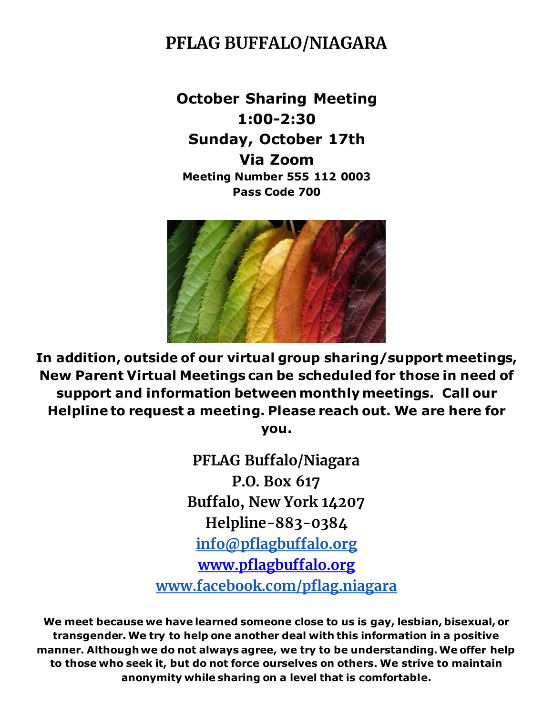# **PFLAG BUFFALO/NIAGARA**

**October Sharing Meeting 1:00-2:30 Sunday, October 17th Via Zoom Meeting Number 555 112 0003 Pass Code 700**



**In addition, outside of our virtual group sharing/support meetings, New Parent Virtual Meetings can be scheduled for those in need of support and information between monthly meetings. Call our Helpline to request a meeting. Please reach out. We are here for you.**

> **PFLAG Buffalo/Niagara P.O. Box 617 Buffalo, New York 14207 Helpline-883-0384 [info@pflagbuffalo.org](mailto:info@pflagbuffalo.org) [www.pflagbuffalo.org](http://www.pflagbuffalo.org/) [www.facebook.com/pflag.niagara](http://www.facebook.com/pflag.niagara)**

**We meet because we have learned someone close to us is gay, lesbian, bisexual, or transgender. We try to help one another deal with this information in a positive manner. Although we do not always agree, we try to be understanding. We offer help to those who seek it, but do not force ourselves on others. We strive to maintain anonymity while sharing on a level that is comfortable.**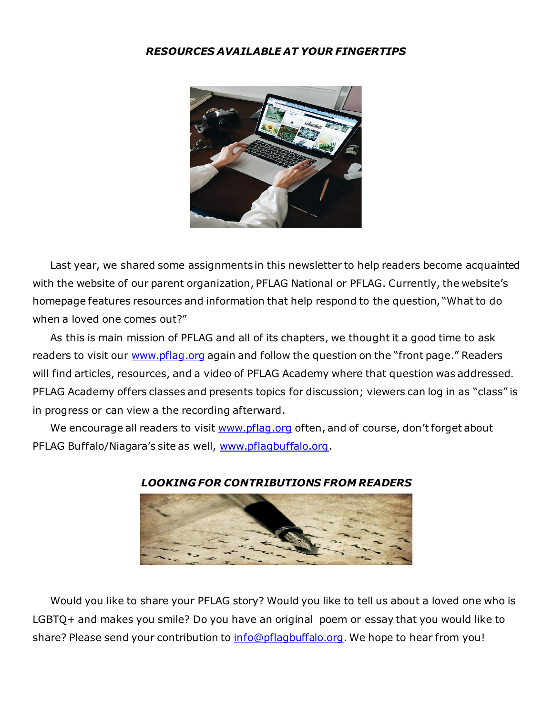### *RESOURCES AVAILABLE AT YOUR FINGERTIPS*



 Last year, we shared some assignments in this newsletter to help readers become acquainted with the website of our parent organization, PFLAG National or PFLAG. Currently, the website's homepage features resources and information that help respond to the question, "What to do when a loved one comes out?"

 As this is main mission of PFLAG and all of its chapters, we thought it a good time to ask readers to visit our [www.pflag.org](http://www.pflag.org/) again and follow the question on the "front page." Readers will find articles, resources, and a video of PFLAG Academy where that question was addressed. PFLAG Academy offers classes and presents topics for discussion; viewers can log in as "class" is in progress or can view a the recording afterward.

We encourage all readers to visit [www.pflag.org](http://www.pflag.org/) often, and of course, don't forget about PFLAG Buffalo/Niagara's site as well, [www.pflagbuffalo.org](http://www.pflagbuffalo.org/).



#### *LOOKING FOR CONTRIBUTIONS FROM READERS*

 Would you like to share your PFLAG story? Would you like to tell us about a loved one who is LGBTQ+ and makes you smile? Do you have an original poem or essay that you would like to share? Please send your contribution to [info@pflagbuffalo.org](mailto:info@pflagbuffalo.org). We hope to hear from you!